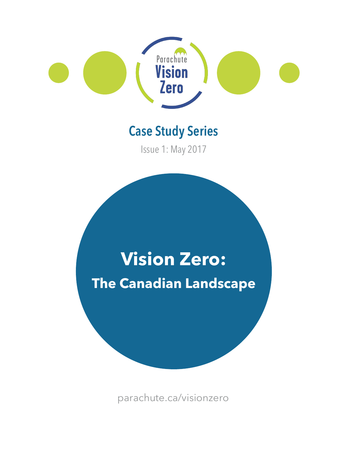

# **Case Study Series**

Issue 1: May 2017

# **Vision Zero: The Canadian Landscape**

[parachute.ca/visionzero](https://parachute.ca)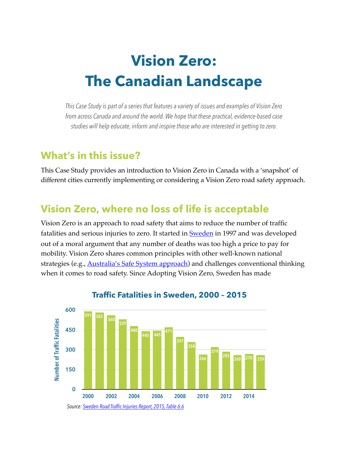# **Vision Zero: The Canadian Landscape**

*This Case Study is part of a series that features a variety of issues and examples of Vision Zero from across Canada and around the world. We hope that these practical, evidence-based case studies will help educate, inform and inspire those who are interested in getting to zero.* 

# **What's in this issue?**

This Case Study provides an introduction to Vision Zero in Canada with a 'snapshot' of different cities currently implementing or considering a Vision Zero road safety approach.

# **Vision Zero, where no loss of life is acceptable**

Vision Zero is an approach to road safety that aims to reduce the number of traffic fatalities and serious injuries to zero. It started in **Sweden** in 1997 and was developed out of a moral argument that any number of deaths was too high a price to pay for mobility. Vision Zero shares common principles with other well-known national strategies (e.g., [Australia's Safe System approach](http://roadsafety.gov.au/nrss/safe-system.aspx)) and challenges conventional thinking when it comes to road safety. Since Adopting Vision Zero, Sweden has made



#### **Traffic Fatalities in Sweden, 2000 – 2015**

*Source: [Sweden Road Traffic Injuries Report, 2015, Table 6.6](http://www.trafa.se/globalassets/statistik/vagtrafik/vagtrafikskador/vaegtrafikskador_2015.pdf)*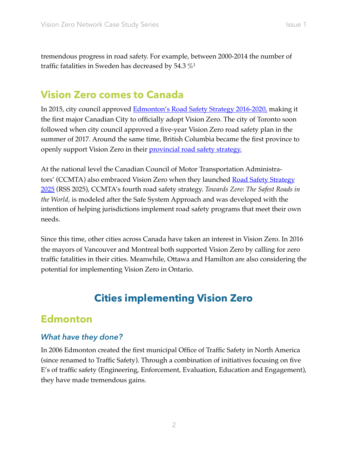<span id="page-2-0"></span>tremendous progress in road safety. For example, between 2000-2014 the number of traffic fatalities in Sweden has decreased by 54.3  $\%$ <sup>1</sup>

# **Vision Zero comes to Canada**

In 2015, city council approved [Edmonton's Road Safety Strategy 2016-2020,](https://www.edmonton.ca/transportation/VisionZero_EdmontonRoadSafetyStrategy_2016-2020.pdf) making it the first major Canadian City to officially adopt Vision Zero. The city of Toronto soon followed when city council approved a five-year Vision Zero road safety plan in the summer of 2017. Around the same time, British Columbia became the first province to openly support Vision Zero in their **provincial road safety strategy**.

At the national level the Canadian Council of Motor Transportation Administrators' (CCMTA) also embraced Vision Zero when they launched <u>Road Safety Strategy</u> [2025](http://strategiesecuriteroutiere.ca/files/RSS-2025-Report-January-2016-with%2520cover.pdf) (RSS 2025), CCMTA's fourth road safety strategy. *Towards Zero: The Safest Roads in the World,* is modeled after the Safe System Approach and was developed with the intention of helping jurisdictions implement road safety programs that meet their own needs.

Since this time, other cities across Canada have taken an interest in Vision Zero. In 2016 the mayors of Vancouver and Montreal both supported Vision Zero by calling for zero traffic fatalities in their cities. Meanwhile, Ottawa and Hamilton are also considering the potential for implementing Vision Zero in Ontario.

# **Cities implementing Vision Zero**

# **Edmonton**

# *What have they done?*

In 2006 Edmonton created the first municipal Office of Traffic Safety in North America (since renamed to Traffic Safety). Through a combination of initiatives focusing on five E's of traffic safety (Engineering, Enforcement, Evaluation, Education and Engagement), they have made tremendous gains.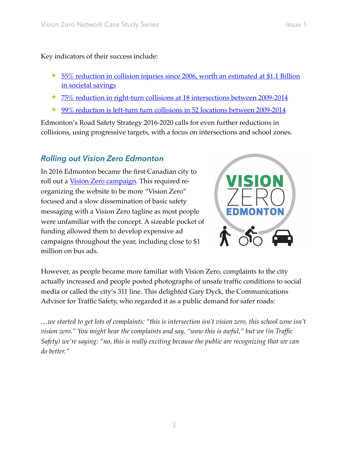Key indicators of their success include:

- ✦ [55% reduction in collision injuries since 2006, worth an estimated at \\$1.1 Billion](https://www.edmonton.ca/transportation/VisionZero_EdmontonRoadSafetyStrategy_2016-2020.pdf)  [in societal savings](https://www.edmonton.ca/transportation/VisionZero_EdmontonRoadSafetyStrategy_2016-2020.pdf)
- ✦ [75% reduction in right-turn collisions at 18 intersections between 2009-2014](https://www.edmonton.ca/transportation/VisionZero_EdmontonRoadSafetyStrategy_2016-2020.pdf)
- ✦ [99% reduction is left-turn turn collisions in 52 locations between 2009-2014](https://www.edmonton.ca/transportation/VisionZero_EdmontonRoadSafetyStrategy_2016-2020.pdf)

Edmonton's Road Safety Strategy 2016-2020 calls for even further reductions in collisions, using progressive targets, with a focus on intersections and school zones.

#### *Rolling out Vision Zero Edmonton*

In 2016 Edmonton became the first Canadian city to roll out a [Vision Zero campaign.](https://www.edmonton.ca/transportation/traffic-safety.aspx?utm_source=virtualaddress&utm_campaign=visionzero) This required reorganizing the website to be more "Vision Zero" focused and a slow dissemination of basic safety messaging with a Vision Zero tagline as most people were unfamiliar with the concept. A sizeable pocket of funding allowed them to develop expensive ad campaigns throughout the year, including close to \$1 million on bus ads.



However, as people became more familiar with Vision Zero, complaints to the city actually increased and people posted photographs of unsafe traffic conditions to social media or called the city's 311 line. This delighted Gary Dyck, the Communications Advisor for Traffic Safety, who regarded it as a public demand for safer roads:

*…we started to get lots of complaints: "this is intersection isn't vision zero, this school zone isn't vision zero." You might hear the complaints and say, "wow this is awful," but we (in Traffic Safety) we're saying: "no, this is really exciting because the public are recognizing that we can do better."*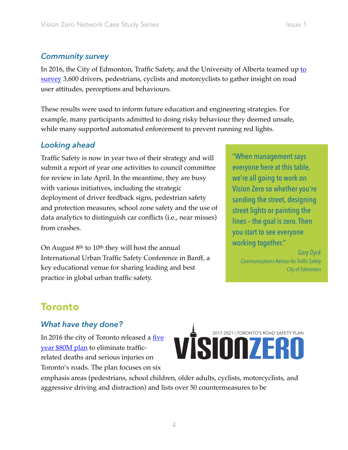#### *Community survey*

In 2016, the City of Edmonton, Traffic Safety, and the University of Alberta teamed up to [survey](https://www.edmonton.ca/transportation/RoadsTraffic/TrafficSafetyCultureSurveyReport2016.pdf) 3,600 drivers, pedestrians, cyclists and motorcyclists to gather insight on road user attitudes, perceptions and behaviours.

These results were used to inform future education and engineering strategies. For example, many participants admitted to doing risky behaviour they deemed unsafe, while many supported automated enforcement to prevent running red lights.

### *Looking ahead*

Traffic Safety is now in year two of their strategy and will "When management says submit a report of year one activities to council committee everyone here at this table, for review in late April. In the meantime, they are busy we're all going to work on with various initiatives, including the strategic Vision Zero so whether you're deployment of driver feedback signs, pedestrian safety sanding the street, designing and protection measures, school zone safety and the use of<br>data analytics to distinguish car conflicts (i.e., near misses)<br>from crashes.<br>you start to see everyone

On August 8<sup>th</sup> to 10<sup>th</sup> they will host the annual *Gary Dyck* **International Urban Traffic Safety Conference in Banff, a** *Communications Advisor for Traffic Safety* key educational venue for sharing leading and best *City of Edmonton*  practice in global urban traffic safety.

# **Toronto**

#### *What have they done?*

[year \\$80M plan](https://www1.toronto.ca/City%20Of%20Toronto/Transportation%20Services/VisionZero/Links/2017%20Vision%20Zero%20Road%20Safety%20Plan.pdf) to eliminate trafficrelated deaths and serious injuries on Toronto's roads. The plan focuses on six

In 2016 the city of Toronto released a <u>[five](https://www1.toronto.ca/City%20Of%20Toronto/Transportation%20Services/VisionZero/Links/2017%20Vision%20Zero%20Road%20Safety%20Plan.pdf) year \$80M plan</u> to eliminate traffic-<br>
related deaths and sorious injuries on

emphasis areas (pedestrians, school children, older adults, cyclists, motorcyclists, and aggressive driving and distraction) and lists over 50 countermeasures to be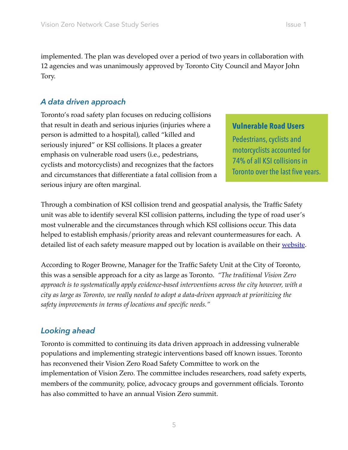implemented. The plan was developed over a period of two years in collaboration with 12 agencies and was unanimously approved by Toronto City Council and Mayor John Tory.

# *A data driven approach*

Toronto's road safety plan focuses on reducing collisions that result in death and serious injuries (injuries where a **Vulnerable Road Users**  person is admitted to a hospital), called "killed and Pedestrians, cyclists and seriously injured" or KSI collisions. It places a greater emphasis on vulnerable road users (i.e., pedestrians,  $\frac{1}{100}$  and  $\frac{1}{100}$  an zyclists and motorcyclists) and recognizes that the factors<br>Toronto over the last five years. and circumstances that differentiate a fatal collision from a serious injury are often marginal.

Through a combination of KSI collision trend and geospatial analysis, the Traffic Safety unit was able to identify several KSI collision patterns, including the type of road user's most vulnerable and the circumstances through which KSI collisions occur. This data helped to establish emphasis/priority areas and relevant countermeasures for each. A detailed list of each safety measure mapped out by location is available on their [website.](http://www1.toronto.ca/wps/portal/contentonly?vgnextoid=38ef4d6e50d19510VgnVCM10000071d60f89RCRD&6=0&7=0&8=0&9=0&10=0&11=0&12=0&13=0&14=0&15=0&16=1&fat=1&inj=1&sch=0&ear=0&sen=0&ret=0&bik=0&cyc=1&agg=1&ped=1&oad=1&chd=1&mtr=1)

According to Roger Browne, Manager for the Traffic Safety Unit at the City of Toronto, this was a sensible approach for a city as large as Toronto. *"The traditional Vision Zero approach is to systematically apply evidence-based interventions across the city however, with a city as large as Toronto, we really needed to adopt a data-driven approach at prioritizing the safety improvements in terms of locations and specific needs."* 

### *Looking ahead*

Toronto is committed to continuing its data driven approach in addressing vulnerable populations and implementing strategic interventions based off known issues. Toronto has reconvened their Vision Zero Road Safety Committee to work on the implementation of Vision Zero. The committee includes researchers, road safety experts, members of the community, police, advocacy groups and government officials. Toronto has also committed to have an annual Vision Zero summit.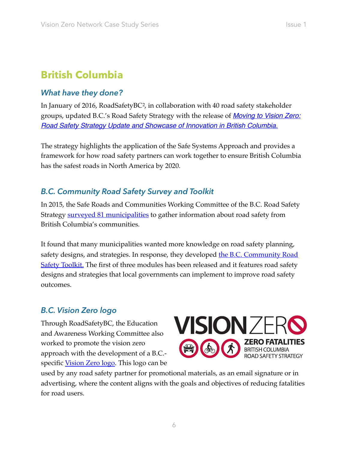# **British Columbia**

## *What have they done?*

<span id="page-6-0"></span> [groups, updated B.C.'s Road Safety Strategy with the release of](http://www2.gov.bc.ca/assets/gov/driving-and-transportation/driving/publications/road-safety-strategy-update-vision-zero.pdf) *[Moving to Vision Zero:](http://www2.gov.bc.ca/assets/gov/driving-and-transportation/driving/publications/road-safety-strategy-update-vision-zero.pdf)  [Road Safety Strategy Update and Showcase of Innovation in British Columbia.](http://www2.gov.bc.ca/assets/gov/driving-and-transportation/driving/publications/road-safety-strategy-update-vision-zero.pdf)*  In January of 2016, RoadSafetyBC<sup>2</sup>, in collaboration with 40 road safety stakeholder

The strategy highlights the application of the Safe Systems Approach and provides a framework for how road safety partners can work together to ensure British Columbia has the safest roads in North America by 2020.

# *B.C. Community Road Safety Survey and Toolkit*

In 2015, the Safe Roads and Communities Working Committee of the B.C. Road Safety Strategy [surveyed 81 municipalities](http://www2.gov.bc.ca/assets/gov/driving-and-transportation/driving/publications/bc-communities-road-safety-survey-report.pdf) to gather information about road safety from British Columbia's communities.

It found that many municipalities wanted more knowledge on road safety planning, safety designs, and strategies. In response, they developed **the B.C. Community Road [Safety Toolkit.](http://www2.gov.bc.ca/assets/gov/driving-and-transportation/driving/publications/community_road_safety_toolkit_module1.pdf)** The first of three modules has been released and it features road safety designs and strategies that local governments can implement to improve road safety outcomes.

### *B.C. Vision Zero logo*

Through RoadSafetyBC, the Education and Awareness Working Committee also worked to promote the vision zero approach with the development of a B.C.- specific [Vision Zero logo](http://www2.gov.bc.ca/gov/content/transportation/driving-and-cycling/road-safety-rules-and-consequences/publications-legislation-and-data/bc-community-road-safety-toolkit). This logo can be



used by any road safety partner for promotional materials, as an email signature or in advertising, where the content aligns with the goals and objectives of reducing fatalities for road users.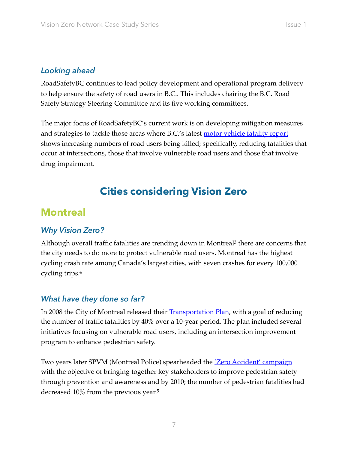#### *Looking ahead*

RoadSafetyBC continues to lead policy development and operational program delivery to help ensure the safety of road users in B.C.. This includes chairing the B.C. Road Safety Strategy Steering Committee and its five working committees.

The major focus of RoadSafetyBC's current work is on developing mitigation measures and strategies to tackle those areas where B.C.'s latest **motor vehicle fatality report** shows increasing numbers of road users being killed; specifically, reducing fatalities that occur at intersections, those that involve vulnerable road users and those that involve drug impairment.

# <span id="page-7-0"></span>**Cities considering Vision Zero**

# **Montreal**

#### *Why Vision Zero?*

Although overall traffic fatalities are trending down in Montreal<sup>3</sup> there are concerns that the city needs to do more to protect vulnerable road users. Montreal has the highest cycling crash rate among Canada's largest cities, with seven crashes for every 100,000 cycling trips[.4](#page-13-3)

#### <span id="page-7-1"></span>*What have they done so far?*

In 2008 the City of Montreal released their **[Transportation Plan](http://ville.montreal.qc.ca/pls/portal/docs/PAGE/TRANSPORTS_FR/MEDIA/DOCUMENTS/TRANSPORTATION%20PLAN%202008_COM.PDF)**, with a goal of reducing the number of traffic fatalities by 40% over a 10-year period. The plan included several initiatives focusing on vulnerable road users, including an intersection improvement program to enhance pedestrian safety.

<span id="page-7-2"></span>Two years later SPVM (Montreal Police) spearheaded the *Zero Accident' campaign* with the objective of bringing together key stakeholders to improve pedestrian safety through prevention and awareness and by 2010; the number of pedestrian fatalities had decreased 10% from the previous year[.5](#page-13-4)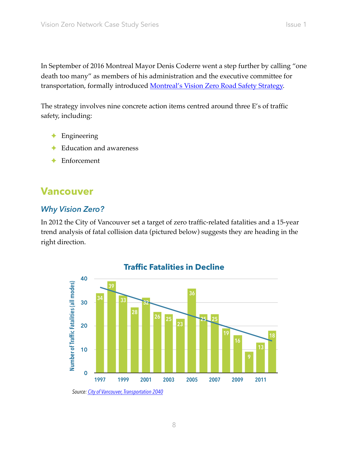In September of 2016 Montreal Mayor Denis Coderre went a step further by calling "one death too many" as members of his administration and the executive committee for transportation, formally introduced **Montreal's Vision Zero Road Safety Strategy**.

The strategy involves nine concrete action items centred around three E's of traffic safety, including:

- ✦ Engineering
- Education and awareness
- ✦ Enforcement

# **Vancouver**

## *Why Vision Zero?*

In 2012 the City of Vancouver set a target of zero traffic-related fatalities and a 15-year trend analysis of fatal collision data (pictured below) suggests they are heading in the right direction.



 *Source: [City of Vancouver, Transportation 2040](http://vancouver.ca/files/cov/transportation-2040-plan.pdf)*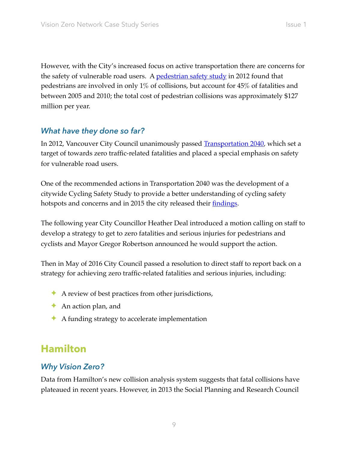However, with the City's increased focus on active transportation there are concerns for the safety of vulnerable road users. A **pedestrian safety study** in 2012 found that pedestrians are involved in only 1% of collisions, but account for 45% of fatalities and between 2005 and 2010; the total cost of pedestrian collisions was approximately \$127 million per year.

# *What have they done so far?*

In 2012, Vancouver City Council unanimously passed **[Transportation 2040](http://vancouver.ca/files/cov/transportation-2040-plan.pdf)**, which set a target of towards zero traffic-related fatalities and placed a special emphasis on safety for vulnerable road users.

One of the recommended actions in Transportation 2040 was the development of a citywide Cycling Safety Study to provide a better understanding of cycling safety hotspots and concerns and in 2015 the city released their <u>findings</u>.

The following year City Councillor Heather Deal introduced a motion calling on staff to develop a strategy to get to zero fatalities and serious injuries for pedestrians and cyclists and Mayor Gregor Robertson announced he would support the action.

Then in May of 2016 City Council passed a resolution to direct staff to report back on a strategy for achieving zero traffic-related fatalities and serious injuries, including:

- $\rightarrow$  A review of best practices from other jurisdictions,
- ✦ An action plan, and
- $\triangle$  A funding strategy to accelerate implementation

# **Hamilton**

### *Why Vision Zero?*

Data from Hamilton's new collision analysis system suggests that fatal collisions have plateaued in recent years. However, in 2013 the Social Planning and Research Council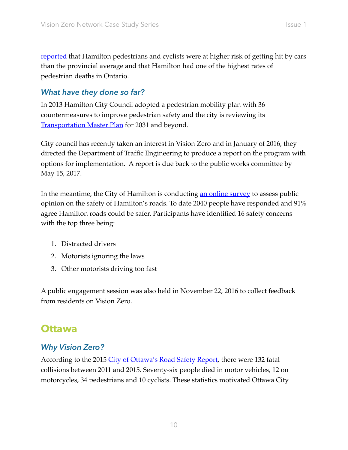[reported](https://www.scribd.com/presentation/182230775/Hamilton-s-Streets-are-Incomplete) that Hamilton pedestrians and cyclists were at higher risk of getting hit by cars than the provincial average and that Hamilton had one of the highest rates of pedestrian deaths in Ontario.

## *What have they done so far?*

In 2013 Hamilton City Council adopted a pedestrian mobility plan with 36 countermeasures to improve pedestrian safety and the city is reviewing its **[Transportation Master Plan](https://www.hamilton.ca/city-planning/master-plans-class-eas/city-wide-transportation-master-plan)** for 2031 and beyond.

City council has recently taken an interest in Vision Zero and in January of 2016, they directed the Department of Traffic Engineering to produce a report on the program with options for implementation. A report is due back to the public works committee by May 15, 2017.

In the meantime, the City of Hamilton is conducting <u>[an online survey](https://www.hamilton.ca/government-information/news-centre/news-releases/road-safety-in-hamilton-take-survey)</u> to assess public opinion on the safety of Hamilton's roads. To date 2040 people have responded and 91% agree Hamilton roads could be safer. Participants have identified 16 safety concerns with the top three being:

- 1. Distracted drivers
- 2. Motorists ignoring the laws
- 3. Other motorists driving too fast

A public engagement session was also held in November 22, 2016 to collect feedback from residents on Vision Zero.

# **Ottawa**

### *Why Vision Zero?*

According to the 2015 [City of Ottawa's Road Safety Report](http://ottawa.ca/en/residents/transportation-and-parking/road-safety/annual-safety-reports#2015-ottawa-road-safety-report), there were 132 fatal collisions between 2011 and 2015. Seventy-six people died in motor vehicles, 12 on motorcycles, 34 pedestrians and 10 cyclists. These statistics motivated Ottawa City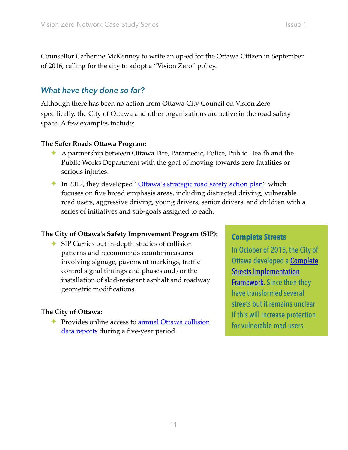Counsellor Catherine McKenney to write an op-ed for the Ottawa Citizen in September of 2016, calling for the city to adopt a "Vision Zero" policy.

# *What have they done so far?*

Although there has been no action from Ottawa City Council on Vision Zero specifically, the City of Ottawa and other organizations are active in the road safety space. A few examples include:

#### **The Safer Roads Ottawa Program:**

- ✦ A partnership between Ottawa Fire, Paramedic, Police, Public Health and the Public Works Department with the goal of moving towards zero fatalities or serious injuries.
- ✦ In 2012, they developed ["Ottawa's strategic road safety action plan"](http://ottawa.ca/calendar/ottawa/citycouncil/occ/2011/12-14/cpsc/02%20-%20Safe%20Roads%20Document%201%20-%20Action%20Plan%20-%20English.pdf) which focuses on five broad emphasis areas, including distracted driving, vulnerable road users, aggressive driving, young drivers, senior drivers, and children with a series of initiatives and sub-goals assigned to each.

The City of Ottawa's Safety Improvement Program (SIP):<br>
► SIP Carries out in-depth studies of collision<br>
notober of 2015, the City of patterns and recommends countermeasures involving signage, pavement markings, traffic **Ottawa developed a Complete** control signal timings and phases and/or the  $\qquad \qquad$  Streets Implementation installation of skid-resistant asphalt and roadway [Framework](https://documents.ottawa.ca/sites/documents.ottawa.ca/files/documents/complete_streets_en_0.pdf). Since then they<br>geometric modifications. have transformed several

The City of Ottawa: **if this will increase protection** ← Provides online access to <u>annual Ottawa collision</u> for vulnerable road users. [data reports](http://ottawa.ca/en/residents/transportation-and-parking/road-safety/annual-safety-reports) during a five-year period.

streets but it remains unclear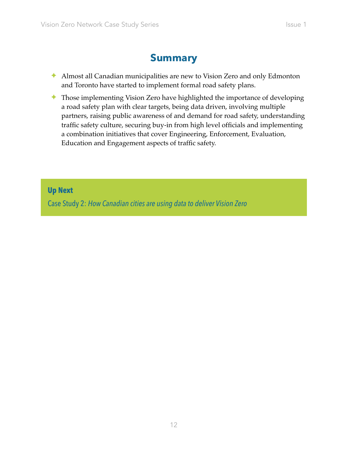# **Summary**

- ✦ Almost all Canadian municipalities are new to Vision Zero and only Edmonton and Toronto have started to implement formal road safety plans.
- ✦ Those implementing Vision Zero have highlighted the importance of developing a road safety plan with clear targets, being data driven, involving multiple partners, raising public awareness of and demand for road safety, understanding traffic safety culture, securing buy-in from high level officials and implementing a combination initiatives that cover Engineering, Enforcement, Evaluation, Education and Engagement aspects of traffic safety.

#### **Up Next**

Case Study 2: *How Canadian cities are using data to deliver Vision Zero*